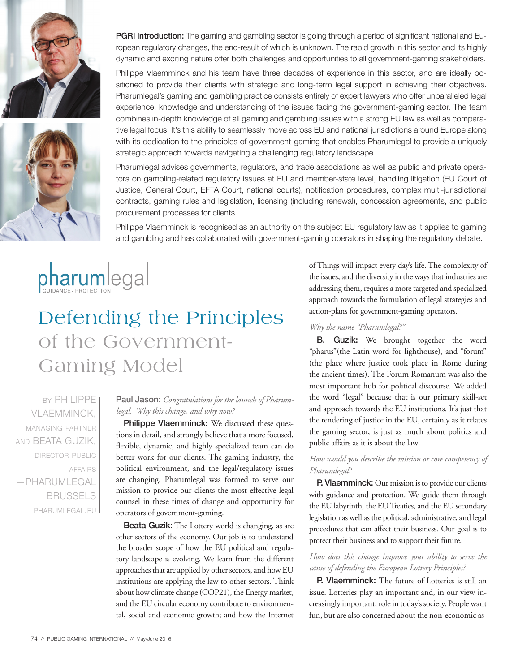



**PGRI Introduction:** The gaming and gambling sector is going through a period of significant national and European regulatory changes, the end-result of which is unknown. The rapid growth in this sector and its highly dynamic and exciting nature offer both challenges and opportunities to all government-gaming stakeholders.

Philippe Vlaemminck and his team have three decades of experience in this sector, and are ideally positioned to provide their clients with strategic and long-term legal support in achieving their objectives. Pharumlegal's gaming and gambling practice consists entirely of expert lawyers who offer unparalleled legal experience, knowledge and understanding of the issues facing the government-gaming sector. The team combines in-depth knowledge of all gaming and gambling issues with a strong EU law as well as comparative legal focus. It's this ability to seamlessly move across EU and national jurisdictions around Europe along with its dedication to the principles of government-gaming that enables Pharumlegal to provide a uniquely strategic approach towards navigating a challenging regulatory landscape.

Pharumlegal advises governments, regulators, and trade associations as well as public and private operators on gambling-related regulatory issues at EU and member-state level, handling litigation (EU Court of Justice, General Court, EFTA Court, national courts), notification procedures, complex multi-jurisdictional contracts, gaming rules and legislation, licensing (including renewal), concession agreements, and public procurement processes for clients.

Philippe Vlaemminck is recognised as an authority on the subject EU regulatory law as it applies to gaming and gambling and has collaborated with government-gaming operators in shaping the regulatory debate.



# Defending the Principles of the Government-Gaming Model

by PHILIPPE VLAEMMINCK, managing partner and BEATA GUZIK, director public affairs —PHARUMLEGAL **BRUSSELS** pharumlegal.eu

# Paul Jason: *Congratulations for the launch of Pharumlegal. Why this change, and why now?*

Philippe Vlaemminck: We discussed these questions in detail, and strongly believe that a more focused, flexible, dynamic, and highly specialized team can do better work for our clients. The gaming industry, the political environment, and the legal/regulatory issues are changing. Pharumlegal was formed to serve our mission to provide our clients the most effective legal counsel in these times of change and opportunity for operators of government-gaming.

Beata Guzik: The Lottery world is changing, as are other sectors of the economy. Our job is to understand the broader scope of how the EU political and regulatory landscape is evolving. We learn from the different approaches that are applied by other sectors, and how EU institutions are applying the law to other sectors. Think about how climate change (COP21), the Energy market, and the EU circular economy contribute to environmental, social and economic growth; and how the Internet of Things will impact every day's life. The complexity of the issues, and the diversity in the ways that industries are addressing them, requires a more targeted and specialized approach towards the formulation of legal strategies and action-plans for government-gaming operators.

#### *Why the name "Pharumlegal?"*

B. Guzik: We brought together the word "pharus"(the Latin word for lighthouse), and "forum" (the place where justice took place in Rome during the ancient times). The Forum Romanum was also the most important hub for political discourse. We added the word "legal" because that is our primary skill-set and approach towards the EU institutions. It's just that the rendering of justice in the EU, certainly as it relates the gaming sector, is just as much about politics and public affairs as it is about the law!

#### *How would you describe the mission or core competency of Pharumlegal?*

P. Vlaemminck: Our mission is to provide our clients with guidance and protection. We guide them through the EU labyrinth, the EU Treaties, and the EU secondary legislation as well as the political, administrative, and legal procedures that can affect their business. Our goal is to protect their business and to support their future.

## *How does this change improve your ability to serve the cause of defending the European Lottery Principles?*

P. Vlaemminck: The future of Lotteries is still an issue. Lotteries play an important and, in our view increasingly important, role in today's society. People want fun, but are also concerned about the non-economic as